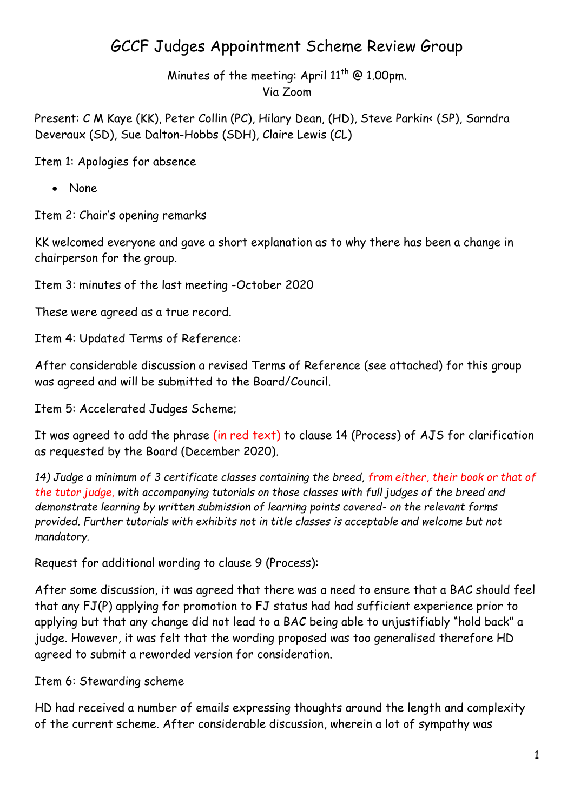## GCCF Judges Appointment Scheme Review Group

Minutes of the meeting: April  $11^{th}$  @ 1.00pm. Via Zoom

Present: C M Kaye (KK), Peter Collin (PC), Hilary Dean, (HD), Steve Parkin< (SP), Sarndra Deveraux (SD), Sue Dalton-Hobbs (SDH), Claire Lewis (CL)

Item 1: Apologies for absence

None

Item 2: Chair's opening remarks

KK welcomed everyone and gave a short explanation as to why there has been a change in chairperson for the group.

Item 3: minutes of the last meeting -October 2020

These were agreed as a true record.

Item 4: Updated Terms of Reference:

After considerable discussion a revised Terms of Reference (see attached) for this group was agreed and will be submitted to the Board/Council.

Item 5: Accelerated Judges Scheme;

It was agreed to add the phrase (in red text) to clause 14 (Process) of AJS for clarification as requested by the Board (December 2020).

*14) Judge a minimum of 3 certificate classes containing the breed, from either, their book or that of the tutor judge, with accompanying tutorials on those classes with full judges of the breed and demonstrate learning by written submission of learning points covered- on the relevant forms provided. Further tutorials with exhibits not in title classes is acceptable and welcome but not mandatory.* 

Request for additional wording to clause 9 (Process):

After some discussion, it was agreed that there was a need to ensure that a BAC should feel that any FJ(P) applying for promotion to FJ status had had sufficient experience prior to applying but that any change did not lead to a BAC being able to unjustifiably "hold back" a judge. However, it was felt that the wording proposed was too generalised therefore HD agreed to submit a reworded version for consideration.

Item 6: Stewarding scheme

HD had received a number of emails expressing thoughts around the length and complexity of the current scheme. After considerable discussion, wherein a lot of sympathy was